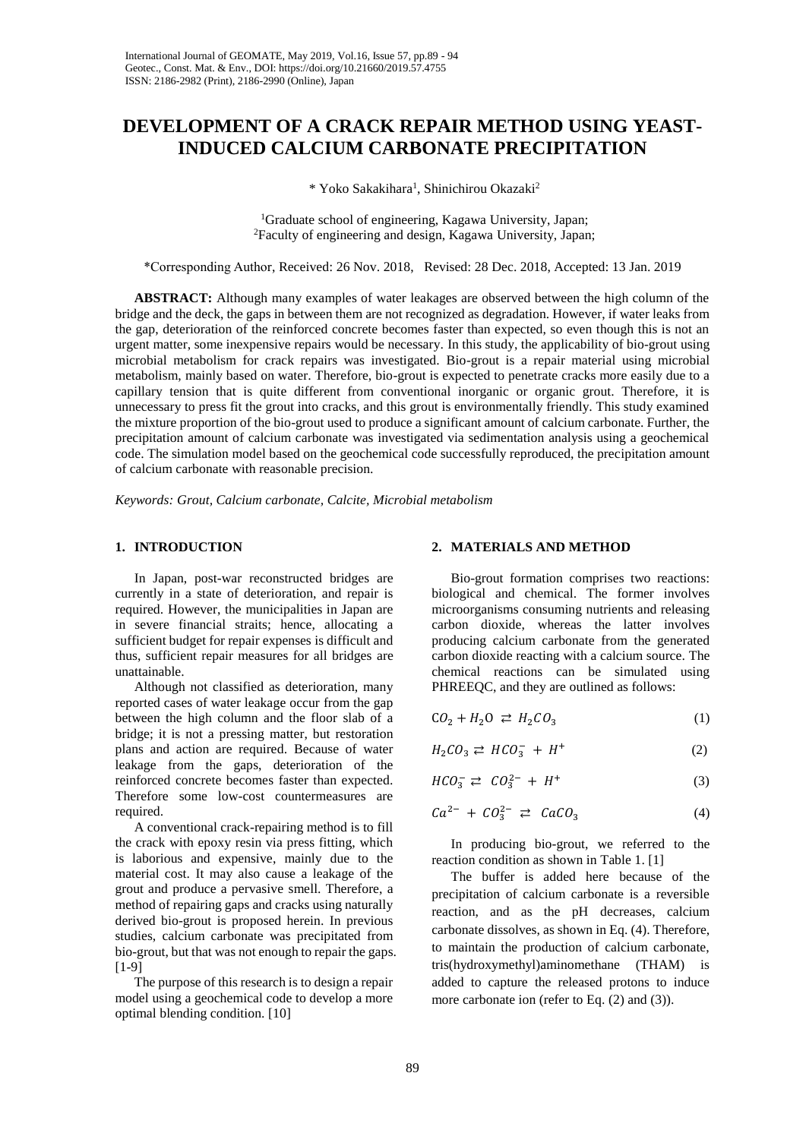# **DEVELOPMENT OF A CRACK REPAIR METHOD USING YEAST-INDUCED CALCIUM CARBONATE PRECIPITATION**

\* Yoko Sakakihara<sup>1</sup>, Shinichirou Okazaki<sup>2</sup>

<sup>1</sup>Graduate school of engineering, Kagawa University, Japan; <sup>2</sup>Faculty of engineering and design, Kagawa University, Japan;

\*Corresponding Author, Received: 26 Nov. 2018, Revised: 28 Dec. 2018, Accepted: 13 Jan. 2019

**ABSTRACT:** Although many examples of water leakages are observed between the high column of the bridge and the deck, the gaps in between them are not recognized as degradation. However, if water leaks from the gap, deterioration of the reinforced concrete becomes faster than expected, so even though this is not an urgent matter, some inexpensive repairs would be necessary. In this study, the applicability of bio-grout using microbial metabolism for crack repairs was investigated. Bio-grout is a repair material using microbial metabolism, mainly based on water. Therefore, bio-grout is expected to penetrate cracks more easily due to a capillary tension that is quite different from conventional inorganic or organic grout. Therefore, it is unnecessary to press fit the grout into cracks, and this grout is environmentally friendly. This study examined the mixture proportion of the bio-grout used to produce a significant amount of calcium carbonate. Further, the precipitation amount of calcium carbonate was investigated via sedimentation analysis using a geochemical code. The simulation model based on the geochemical code successfully reproduced, the precipitation amount of calcium carbonate with reasonable precision.

*Keywords: Grout, Calcium carbonate, Calcite, Microbial metabolism*

# **1. INTRODUCTION**

In Japan, post-war reconstructed bridges are currently in a state of deterioration, and repair is required. However, the municipalities in Japan are in severe financial straits; hence, allocating a sufficient budget for repair expenses is difficult and thus, sufficient repair measures for all bridges are unattainable.

Although not classified as deterioration, many reported cases of water leakage occur from the gap between the high column and the floor slab of a bridge; it is not a pressing matter, but restoration plans and action are required. Because of water leakage from the gaps, deterioration of the reinforced concrete becomes faster than expected. Therefore some low-cost countermeasures are required.

A conventional crack-repairing method is to fill the crack with epoxy resin via press fitting, which is laborious and expensive, mainly due to the material cost. It may also cause a leakage of the grout and produce a pervasive smell. Therefore, a method of repairing gaps and cracks using naturally derived bio-grout is proposed herein. In previous studies, calcium carbonate was precipitated from bio-grout, but that was not enough to repair the gaps. [1-9]

The purpose of this research is to design a repair model using a geochemical code to develop a more optimal blending condition. [10]

## **2. MATERIALS AND METHOD**

Bio-grout formation comprises two reactions: biological and chemical. The former involves microorganisms consuming nutrients and releasing carbon dioxide, whereas the latter involves producing calcium carbonate from the generated carbon dioxide reacting with a calcium source. The chemical reactions can be simulated using PHREEQC, and they are outlined as follows:

$$
CO_2 + H_2O \n\rightleftharpoons H_2CO_3 \n\tag{1}
$$

$$
H_2CO_3 \rightleftarrows HCO_3^- + H^+ \tag{2}
$$

$$
HCO_3^- \rightleftarrows CO_3^{2-} + H^+ \tag{3}
$$

$$
Ca^{2-} + CO_3^{2-} \rightleftarrows CaCO_3 \tag{4}
$$

In producing bio-grout, we referred to the reaction condition as shown in Table 1. [1]

The buffer is added here because of the precipitation of calcium carbonate is a reversible reaction, and as the pH decreases, calcium carbonate dissolves, as shown in Eq. (4). Therefore, to maintain the production of calcium carbonate, tris(hydroxymethyl)aminomethane (THAM) is added to capture the released protons to induce more carbonate ion (refer to Eq. (2) and (3)).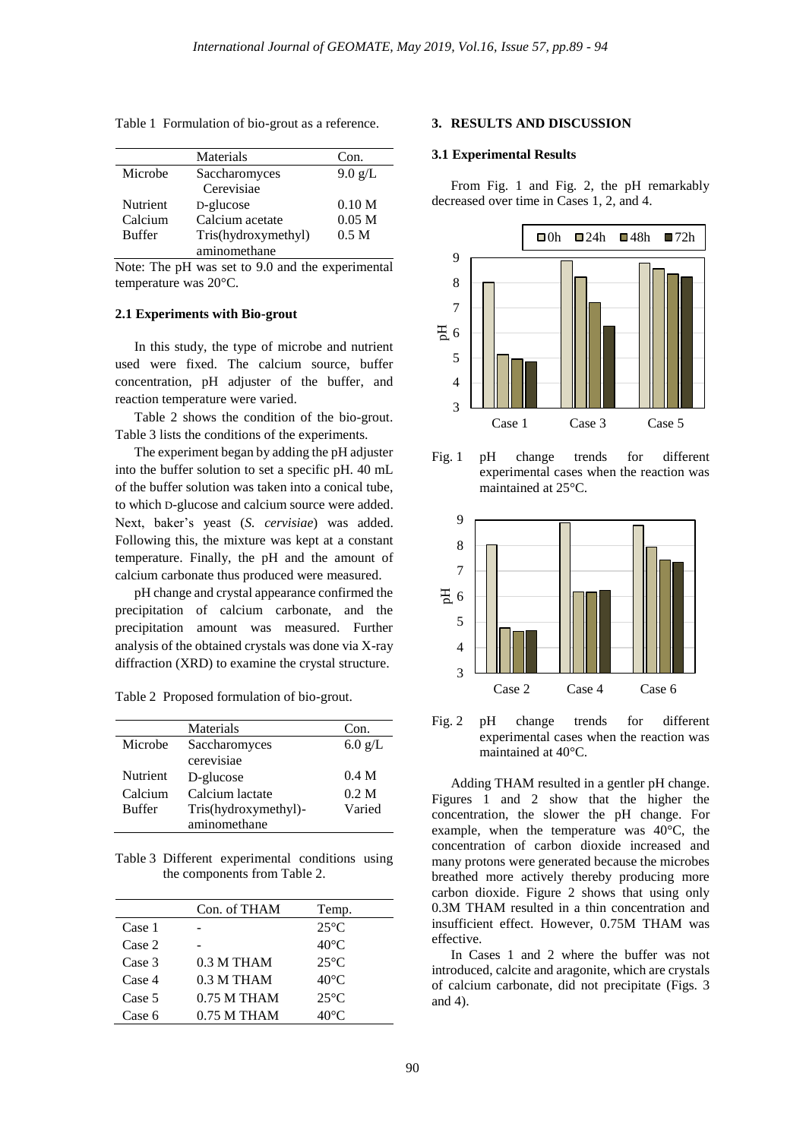| Materials           | Con.              |
|---------------------|-------------------|
| Saccharomyces       | $9.0$ g/L         |
| Cerevisiae          |                   |
| D-glucose           | 0.10 <sub>M</sub> |
| Calcium acetate     | 0.05 <sub>M</sub> |
| Tris(hydroxymethyl) | 0.5 <sub>M</sub>  |
| aminomethane        |                   |
|                     |                   |

Table 1 Formulation of bio-grout as a reference.

Note: The pH was set to 9.0 and the experimental temperature was 20°C.

# **2.1 Experiments with Bio-grout**

In this study, the type of microbe and nutrient used were fixed. The calcium source, buffer concentration, pH adjuster of the buffer, and reaction temperature were varied.

Table 2 shows the condition of the bio-grout. Table 3 lists the conditions of the experiments.

The experiment began by adding the pH adjuster into the buffer solution to set a specific pH. 40 mL of the buffer solution was taken into a conical tube, to which D-glucose and calcium source were added. Next, baker's yeast (*S. cervisiae*) was added. Following this, the mixture was kept at a constant temperature. Finally, the pH and the amount of calcium carbonate thus produced were measured.

pH change and crystal appearance confirmed the precipitation of calcium carbonate, and the precipitation amount was measured. Further analysis of the obtained crystals was done via X-ray diffraction (XRD) to examine the crystal structure.

Table 2 Proposed formulation of bio-grout.

|                 | Materials            | Con.             |
|-----------------|----------------------|------------------|
| Microbe         | Saccharomyces        | $6.0$ g/L        |
|                 | cerevisiae           |                  |
| <b>Nutrient</b> | D-glucose            | 0.4 <sub>M</sub> |
| Calcium         | Calcium lactate      | 0.2 M            |
| <b>Buffer</b>   | Tris(hydroxymethyl)- | Varied           |
|                 | aminomethane         |                  |

Table 3 Different experimental conditions using the components from Table 2.

|        | Con. of THAM  | Temp.          |
|--------|---------------|----------------|
| Case 1 |               | $25^{\circ}C$  |
| Case 2 |               | $40^{\circ}$ C |
| Case 3 | $0.3$ M THAM  | $25^{\circ}$ C |
| Case 4 | $0.3$ M THAM  | $40^{\circ}$ C |
| Case 5 | $0.75$ M THAM | $25^{\circ}$ C |
| Case 6 | $0.75$ M THAM | $40^{\circ}$ C |

#### **3. RESULTS AND DISCUSSION**

#### **3.1 Experimental Results**

From Fig. 1 and Fig. 2, the pH remarkably decreased over time in Cases 1, 2, and 4.



Fig. 1 pH change trends for different experimental cases when the reaction was maintained at 25°C.



Fig. 2 pH change trends for different experimental cases when the reaction was maintained at 40°C.

Adding THAM resulted in a gentler pH change. Figures 1 and 2 show that the higher the concentration, the slower the pH change. For example, when the temperature was 40°C, the concentration of carbon dioxide increased and many protons were generated because the microbes breathed more actively thereby producing more carbon dioxide. Figure 2 shows that using only 0.3M THAM resulted in a thin concentration and insufficient effect. However, 0.75M THAM was effective.

In Cases 1 and 2 where the buffer was not introduced, calcite and aragonite, which are crystals of calcium carbonate, did not precipitate (Figs. 3 and 4).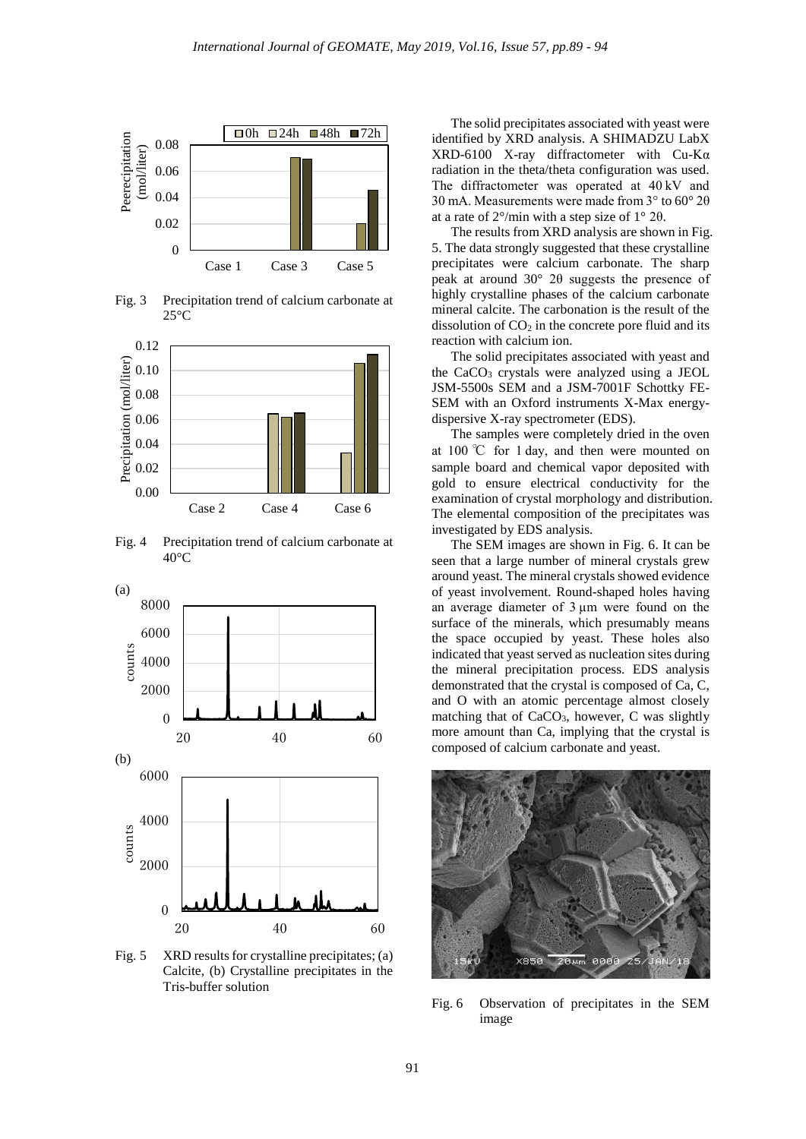

Fig. 3 Precipitation trend of calcium carbonate at  $25^{\circ}$ C



Fig. 4 Precipitation trend of calcium carbonate at 40°C



Fig. 5 XRD results for crystalline precipitates; (a) Calcite, (b) Crystalline precipitates in the Tris-buffer solution

The solid precipitates associated with yeast were identified by XRD analysis. A SHIMADZU LabX XRD-6100 X-ray diffractometer with Cu-Kα radiation in the theta/theta configuration was used. The diffractometer was operated at 40 kV and 30 mA. Measurements were made from 3° to 60° 2θ at a rate of  $2^{\circ}/$ min with a step size of  $1^{\circ}$  2 $\theta$ .

The results from XRD analysis are shown in Fig. 5. The data strongly suggested that these crystalline precipitates were calcium carbonate. The sharp peak at around 30° 2θ suggests the presence of highly crystalline phases of the calcium carbonate mineral calcite. The carbonation is the result of the dissolution of  $CO<sub>2</sub>$  in the concrete pore fluid and its reaction with calcium ion.

The solid precipitates associated with yeast and the CaCO<sup>3</sup> crystals were analyzed using a JEOL JSM-5500s SEM and a JSM-7001F Schottky FE-SEM with an Oxford instruments X-Max energydispersive X-ray spectrometer (EDS).

The samples were completely dried in the oven at 100 ℃ for 1 day, and then were mounted on sample board and chemical vapor deposited with gold to ensure electrical conductivity for the examination of crystal morphology and distribution. The elemental composition of the precipitates was investigated by EDS analysis.

The SEM images are shown in Fig. 6. It can be seen that a large number of mineral crystals grew around yeast. The mineral crystals showed evidence of yeast involvement. Round-shaped holes having an average diameter of 3 µm were found on the surface of the minerals, which presumably means the space occupied by yeast. These holes also indicated that yeast served as nucleation sites during the mineral precipitation process. EDS analysis demonstrated that the crystal is composed of Ca, C, and O with an atomic percentage almost closely matching that of CaCO<sub>3</sub>, however, C was slightly more amount than Ca, implying that the crystal is composed of calcium carbonate and yeast.



Fig. 6 Observation of precipitates in the SEM image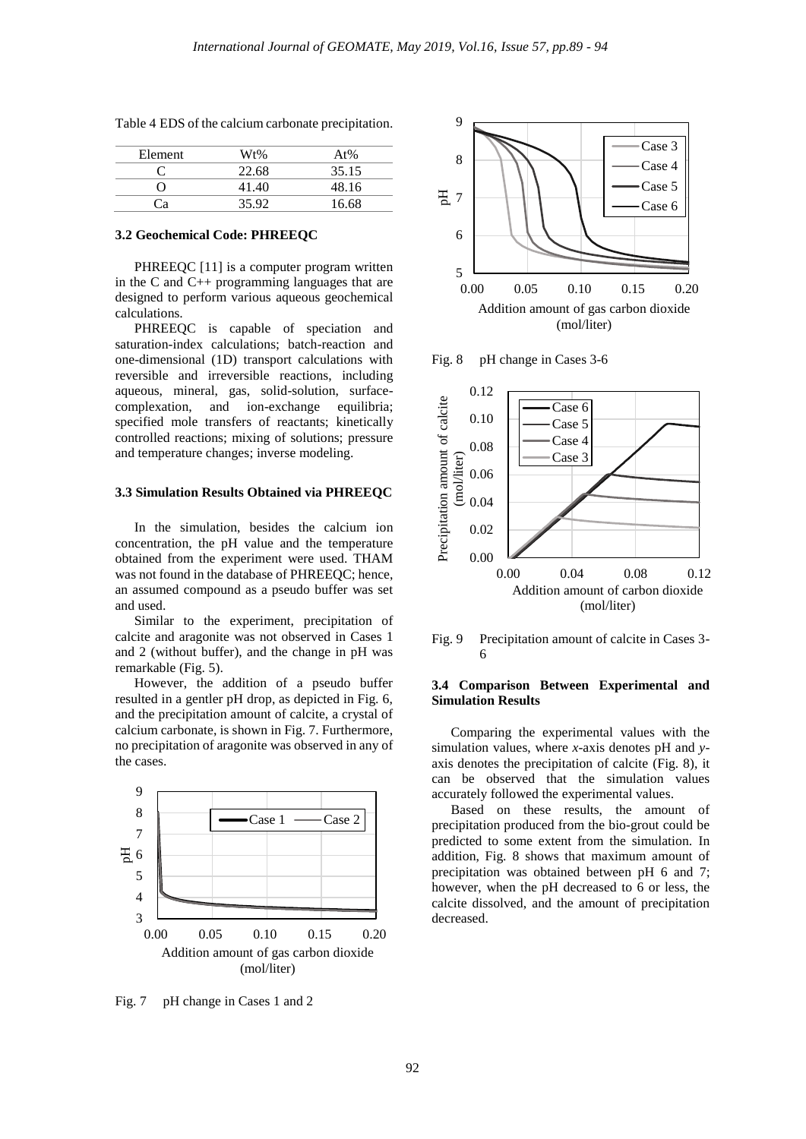| Element | Wt%   | At%   |
|---------|-------|-------|
|         | 22.68 | 35.15 |
|         | 41.40 | 48.16 |
| ூ       | 35.92 | 16.68 |

Table 4 EDS of the calcium carbonate precipitation.

#### **3.2 Geochemical Code: PHREEQC**

PHREEQC [11] is a computer program written in the C and C++ programming languages that are designed to perform various aqueous geochemical calculations.

PHREEQC is capable of speciation and saturation-index calculations; batch-reaction and one-dimensional (1D) transport calculations with reversible and irreversible reactions, including aqueous, mineral, gas, solid-solution, surfacecomplexation, and ion-exchange equilibria; specified mole transfers of reactants; kinetically controlled reactions; mixing of solutions; pressure and temperature changes; inverse modeling.

#### **3.3 Simulation Results Obtained via PHREEQC**

In the simulation, besides the calcium ion concentration, the pH value and the temperature obtained from the experiment were used. THAM was not found in the database of PHREEQC; hence, an assumed compound as a pseudo buffer was set and used.

Similar to the experiment, precipitation of calcite and aragonite was not observed in Cases 1 and 2 (without buffer), and the change in pH was remarkable (Fig. 5).

However, the addition of a pseudo buffer resulted in a gentler pH drop, as depicted in Fig. 6, and the precipitation amount of calcite, a crystal of calcium carbonate, is shown in Fig. 7. Furthermore, no precipitation of aragonite was observed in any of the cases.



Fig. 7 pH change in Cases 1 and 2



Fig. 8 pH change in Cases 3-6



Fig. 9 Precipitation amount of calcite in Cases 3- 6

## **3.4 Comparison Between Experimental and Simulation Results**

Comparing the experimental values with the simulation values, where *x*-axis denotes pH and *y*axis denotes the precipitation of calcite (Fig. 8), it can be observed that the simulation values accurately followed the experimental values.

Based on these results, the amount of precipitation produced from the bio-grout could be predicted to some extent from the simulation. In addition, Fig. 8 shows that maximum amount of precipitation was obtained between pH 6 and 7; however, when the pH decreased to 6 or less, the calcite dissolved, and the amount of precipitation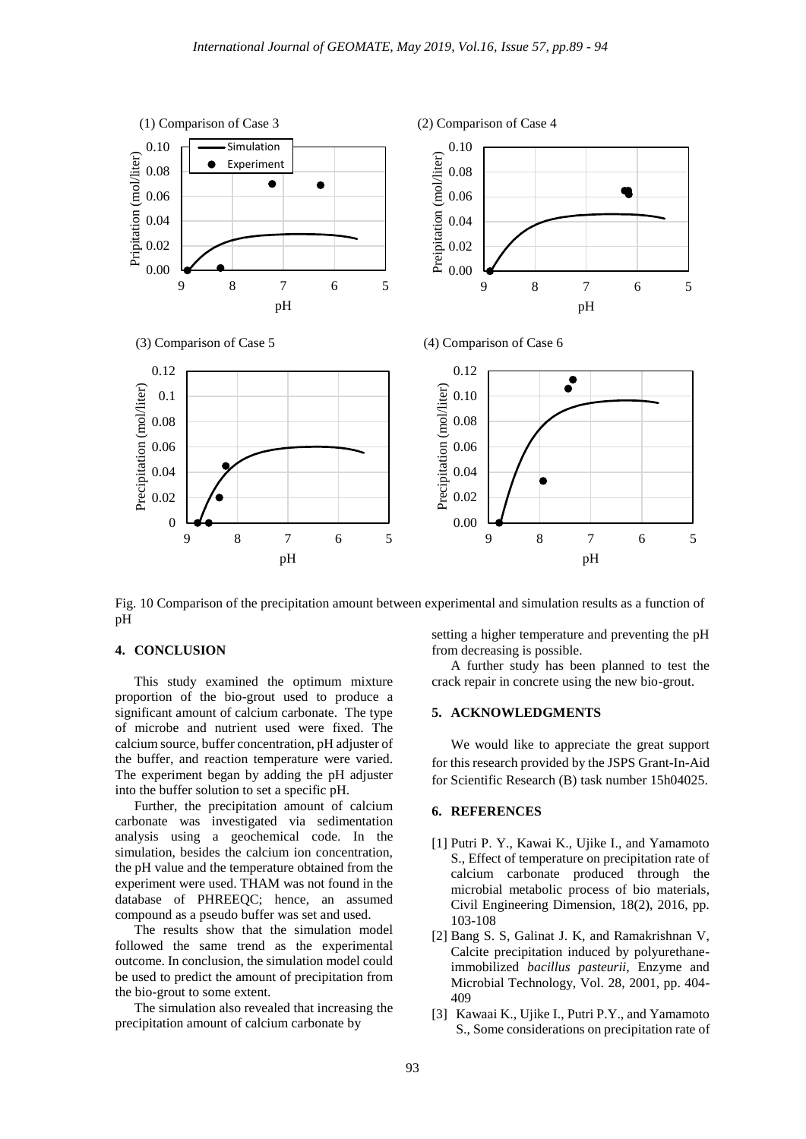

Fig. 10 Comparison of the precipitation amount between experimental and simulation results as a function of pH

# **4. CONCLUSION**

This study examined the optimum mixture proportion of the bio-grout used to produce a significant amount of calcium carbonate. The type of microbe and nutrient used were fixed. The calcium source, buffer concentration, pH adjuster of the buffer, and reaction temperature were varied. The experiment began by adding the pH adjuster into the buffer solution to set a specific pH.

Further, the precipitation amount of calcium carbonate was investigated via sedimentation analysis using a geochemical code. In the simulation, besides the calcium ion concentration, the pH value and the temperature obtained from the experiment were used. THAM was not found in the database of PHREEQC; hence, an assumed compound as a pseudo buffer was set and used.

The results show that the simulation model followed the same trend as the experimental outcome. In conclusion, the simulation model could be used to predict the amount of precipitation from the bio-grout to some extent.

The simulation also revealed that increasing the precipitation amount of calcium carbonate by

setting a higher temperature and preventing the pH from decreasing is possible.

A further study has been planned to test the crack repair in concrete using the new bio-grout.

## **5. ACKNOWLEDGMENTS**

We would like to appreciate the great support for this research provided by the JSPS Grant-In-Aid for Scientific Research (B) task number 15h04025.

### **6. REFERENCES**

- [1] Putri P. Y., Kawai K., Ujike I., and Yamamoto S., Effect of temperature on precipitation rate of calcium carbonate produced through the microbial metabolic process of bio materials, Civil Engineering Dimension, 18(2), 2016, pp. 103-108
- [2] Bang S. S, Galinat J. K, and Ramakrishnan V, Calcite precipitation induced by polyurethaneimmobilized *bacillus pasteurii*, Enzyme and Microbial Technology, Vol. 28, 2001, pp. 404- 409
- [3] Kawaai K., Ujike I., Putri P.Y., and Yamamoto S., Some considerations on precipitation rate of